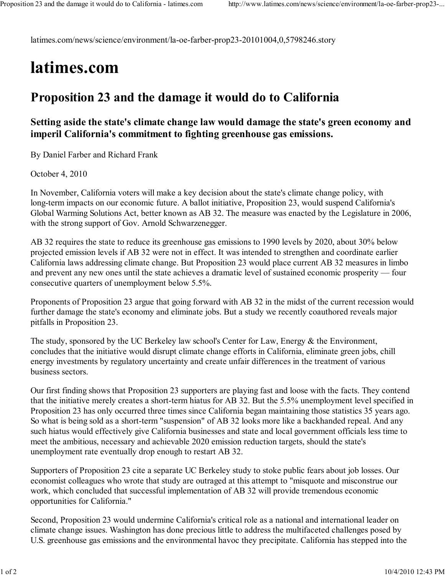latimes.com/news/science/environment/la-oe-farber-prop23-20101004,0,5798246.story

## latimes.com

## Proposition 23 and the damage it would do to California

## Setting aside the state's climate change law would damage the state's green economy and imperil California's commitment to fighting greenhouse gas emissions.

By Daniel Farber and Richard Frank

October 4, 2010

In November, California voters will make a key decision about the state's climate change policy, with long-term impacts on our economic future. A ballot initiative, Proposition 23, would suspend California's Global Warming Solutions Act, better known as AB 32. The measure was enacted by the Legislature in 2006, with the strong support of Gov. Arnold Schwarzenegger.

AB 32 requires the state to reduce its greenhouse gas emissions to 1990 levels by 2020, about 30% below projected emission levels if AB 32 were not in effect. It was intended to strengthen and coordinate earlier California laws addressing climate change. But Proposition 23 would place current AB 32 measures in limbo and prevent any new ones until the state achieves a dramatic level of sustained economic prosperity — four consecutive quarters of unemployment below 5.5%.

Proponents of Proposition 23 argue that going forward with AB 32 in the midst of the current recession would further damage the state's economy and eliminate jobs. But a study we recently coauthored reveals major pitfalls in Proposition 23.

The study, sponsored by the UC Berkeley law school's Center for Law, Energy & the Environment, concludes that the initiative would disrupt climate change efforts in California, eliminate green jobs, chill energy investments by regulatory uncertainty and create unfair differences in the treatment of various business sectors.

Our first finding shows that Proposition 23 supporters are playing fast and loose with the facts. They contend that the initiative merely creates a short-term hiatus for AB 32. But the 5.5% unemployment level specified in Proposition 23 has only occurred three times since California began maintaining those statistics 35 years ago. So what is being sold as a short-term "suspension" of AB 32 looks more like a backhanded repeal. And any such hiatus would effectively give California businesses and state and local government officials less time to meet the ambitious, necessary and achievable 2020 emission reduction targets, should the state's unemployment rate eventually drop enough to restart AB 32.

Supporters of Proposition 23 cite a separate UC Berkeley study to stoke public fears about job losses. Our economist colleagues who wrote that study are outraged at this attempt to "misquote and misconstrue our work, which concluded that successful implementation of AB 32 will provide tremendous economic opportunities for California."

Second, Proposition 23 would undermine California's critical role as a national and international leader on climate change issues. Washington has done precious little to address the multifaceted challenges posed by U.S. greenhouse gas emissions and the environmental havoc they precipitate. California has stepped into the